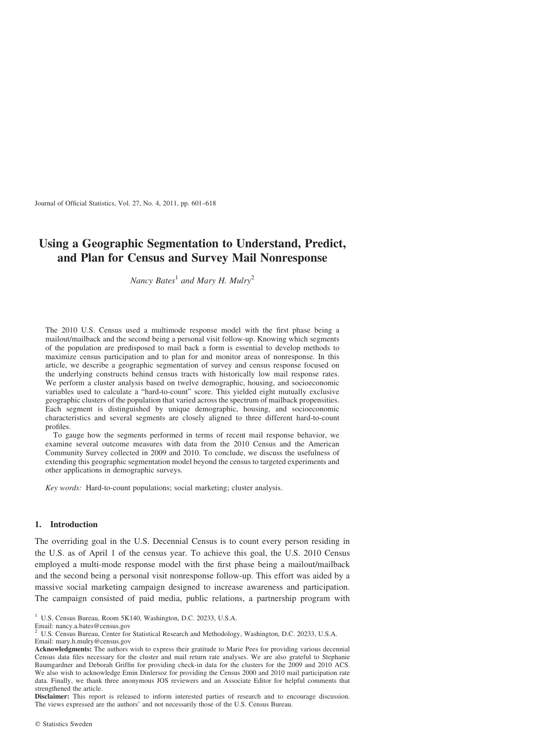Journal of Official Statistics, Vol. 27, No. 4, 2011, pp. 601–618

# Using a Geographic Segmentation to Understand, Predict, and Plan for Census and Survey Mail Nonresponse

Nancy Bates<sup>1</sup> and Mary H. Mulry<sup>2</sup>

The 2010 U.S. Census used a multimode response model with the first phase being a mailout/mailback and the second being a personal visit follow-up. Knowing which segments of the population are predisposed to mail back a form is essential to develop methods to maximize census participation and to plan for and monitor areas of nonresponse. In this article, we describe a geographic segmentation of survey and census response focused on the underlying constructs behind census tracts with historically low mail response rates. We perform a cluster analysis based on twelve demographic, housing, and socioeconomic variables used to calculate a "hard-to-count" score. This yielded eight mutually exclusive geographic clusters of the population that varied across the spectrum of mailback propensities. Each segment is distinguished by unique demographic, housing, and socioeconomic characteristics and several segments are closely aligned to three different hard-to-count profiles.

To gauge how the segments performed in terms of recent mail response behavior, we examine several outcome measures with data from the 2010 Census and the American Community Survey collected in 2009 and 2010. To conclude, we discuss the usefulness of extending this geographic segmentation model beyond the census to targeted experiments and other applications in demographic surveys.

Key words: Hard-to-count populations; social marketing; cluster analysis.

## 1. Introduction

The overriding goal in the U.S. Decennial Census is to count every person residing in the U.S. as of April 1 of the census year. To achieve this goal, the U.S. 2010 Census employed a multi-mode response model with the first phase being a mailout/mailback and the second being a personal visit nonresponse follow-up. This effort was aided by a massive social marketing campaign designed to increase awareness and participation. The campaign consisted of paid media, public relations, a partnership program with

<sup>1</sup> U.S. Census Bureau, Room 5K140, Washington, D.C. 20233, U.S.A.

Email: nancy.a.bates@census.gov

<sup>2</sup> U.S. Census Bureau, Center for Statistical Research and Methodology, Washington, D.C. 20233, U.S.A.

Email: mary.h.mulry@census.gov

Acknowledgments: The authors wish to express their gratitude to Marie Pees for providing various decennial Census data files necessary for the cluster and mail return rate analyses. We are also grateful to Stephanie Baumgardner and Deborah Griffin for providing check-in data for the clusters for the 2009 and 2010 ACS. We also wish to acknowledge Emin Dinlersoz for providing the Census 2000 and 2010 mail participation rate data. Finally, we thank three anonymous JOS reviewers and an Associate Editor for helpful comments that strengthened the article.

Disclaimer: This report is released to inform interested parties of research and to encourage discussion. The views expressed are the authors' and not necessarily those of the U.S. Census Bureau.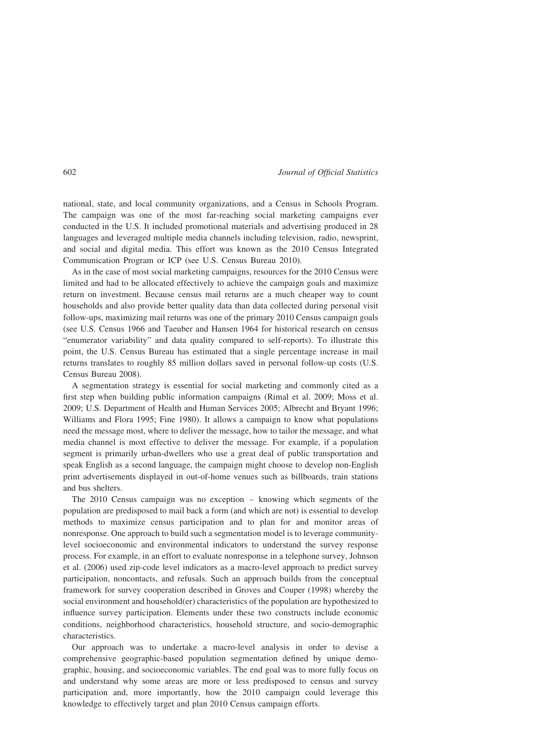national, state, and local community organizations, and a Census in Schools Program. The campaign was one of the most far-reaching social marketing campaigns ever conducted in the U.S. It included promotional materials and advertising produced in 28 languages and leveraged multiple media channels including television, radio, newsprint, and social and digital media. This effort was known as the 2010 Census Integrated Communication Program or ICP (see U.S. Census Bureau 2010).

As in the case of most social marketing campaigns, resources for the 2010 Census were limited and had to be allocated effectively to achieve the campaign goals and maximize return on investment. Because census mail returns are a much cheaper way to count households and also provide better quality data than data collected during personal visit follow-ups, maximizing mail returns was one of the primary 2010 Census campaign goals (see U.S. Census 1966 and Taeuber and Hansen 1964 for historical research on census "enumerator variability" and data quality compared to self-reports). To illustrate this point, the U.S. Census Bureau has estimated that a single percentage increase in mail returns translates to roughly 85 million dollars saved in personal follow-up costs (U.S. Census Bureau 2008).

A segmentation strategy is essential for social marketing and commonly cited as a first step when building public information campaigns (Rimal et al. 2009; Moss et al. 2009; U.S. Department of Health and Human Services 2005; Albrecht and Bryant 1996; Williams and Flora 1995; Fine 1980). It allows a campaign to know what populations need the message most, where to deliver the message, how to tailor the message, and what media channel is most effective to deliver the message. For example, if a population segment is primarily urban-dwellers who use a great deal of public transportation and speak English as a second language, the campaign might choose to develop non-English print advertisements displayed in out-of-home venues such as billboards, train stations and bus shelters.

The 2010 Census campaign was no exception – knowing which segments of the population are predisposed to mail back a form (and which are not) is essential to develop methods to maximize census participation and to plan for and monitor areas of nonresponse. One approach to build such a segmentation model is to leverage communitylevel socioeconomic and environmental indicators to understand the survey response process. For example, in an effort to evaluate nonresponse in a telephone survey, Johnson et al. (2006) used zip-code level indicators as a macro-level approach to predict survey participation, noncontacts, and refusals. Such an approach builds from the conceptual framework for survey cooperation described in Groves and Couper (1998) whereby the social environment and household(er) characteristics of the population are hypothesized to influence survey participation. Elements under these two constructs include economic conditions, neighborhood characteristics, household structure, and socio-demographic characteristics.

Our approach was to undertake a macro-level analysis in order to devise a comprehensive geographic-based population segmentation defined by unique demographic, housing, and socioeconomic variables. The end goal was to more fully focus on and understand why some areas are more or less predisposed to census and survey participation and, more importantly, how the 2010 campaign could leverage this knowledge to effectively target and plan 2010 Census campaign efforts.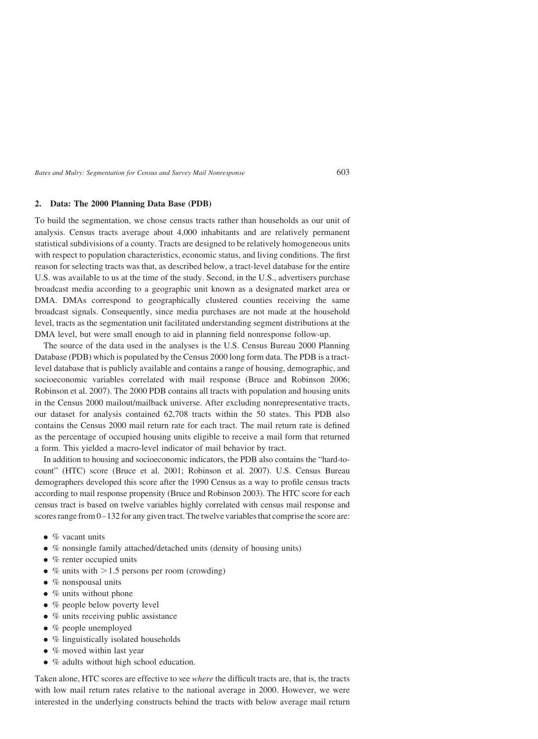#### 2. Data: The 2000 Planning Data Base (PDB)

To build the segmentation, we chose census tracts rather than households as our unit of analysis. Census tracts average about 4,000 inhabitants and are relatively permanent statistical subdivisions of a county. Tracts are designed to be relatively homogeneous units with respect to population characteristics, economic status, and living conditions. The first reason for selecting tracts was that, as described below, a tract-level database for the entire U.S. was available to us at the time of the study. Second, in the U.S., advertisers purchase broadcast media according to a geographic unit known as a designated market area or DMA. DMAs correspond to geographically clustered counties receiving the same broadcast signals. Consequently, since media purchases are not made at the household level, tracts as the segmentation unit facilitated understanding segment distributions at the DMA level, but were small enough to aid in planning field nonresponse follow-up.

The source of the data used in the analyses is the U.S. Census Bureau 2000 Planning Database (PDB) which is populated by the Census 2000 long form data. The PDB is a tractlevel database that is publicly available and contains a range of housing, demographic, and socioeconomic variables correlated with mail response (Bruce and Robinson 2006; Robinson et al. 2007). The 2000 PDB contains all tracts with population and housing units in the Census 2000 mailout/mailback universe. After excluding nonrepresentative tracts, our dataset for analysis contained 62,708 tracts within the 50 states. This PDB also contains the Census 2000 mail return rate for each tract. The mail return rate is defined as the percentage of occupied housing units eligible to receive a mail form that returned a form. This yielded a macro-level indicator of mail behavior by tract.

In addition to housing and socioeconomic indicators, the PDB also contains the "hard-tocount" (HTC) score (Bruce et al. 2001; Robinson et al. 2007). U.S. Census Bureau demographers developed this score after the 1990 Census as a way to profile census tracts according to mail response propensity (Bruce and Robinson 2003). The HTC score for each census tract is based on twelve variables highly correlated with census mail response and scores range from 0–132 for any given tract. The twelve variables that comprise the score are:

- $\bullet$  % vacant units
- % nonsingle family attached/detached units (density of housing units)
- % renter occupied units
- % units with  $> 1.5$  persons per room (crowding)
- $\bullet$  % nonspousal units
- $\bullet$  % units without phone
- % people below poverty level
- % units receiving public assistance
- $\bullet$  % people unemployed
- % linguistically isolated households
- $\bullet$  % moved within last year
- % adults without high school education.

Taken alone, HTC scores are effective to see *where* the difficult tracts are, that is, the tracts with low mail return rates relative to the national average in 2000. However, we were interested in the underlying constructs behind the tracts with below average mail return

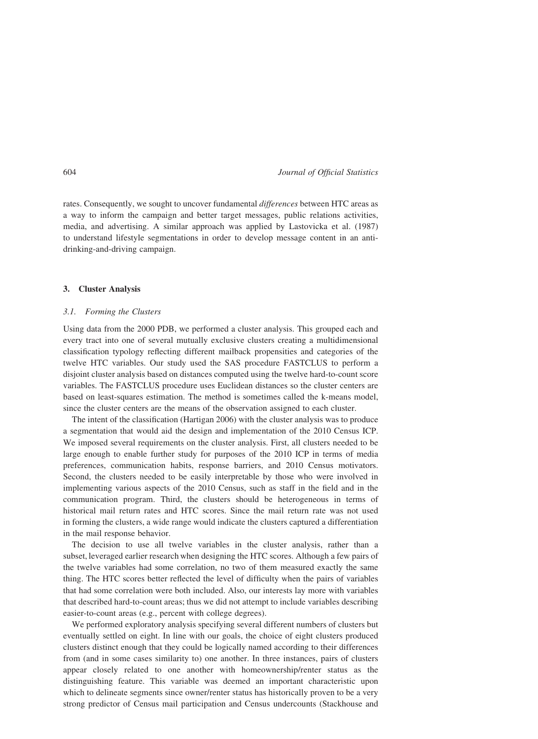rates. Consequently, we sought to uncover fundamental *differences* between HTC areas as a way to inform the campaign and better target messages, public relations activities, media, and advertising. A similar approach was applied by Lastovicka et al. (1987) to understand lifestyle segmentations in order to develop message content in an antidrinking-and-driving campaign.

#### 3. Cluster Analysis

# 3.1. Forming the Clusters

Using data from the 2000 PDB, we performed a cluster analysis. This grouped each and every tract into one of several mutually exclusive clusters creating a multidimensional classification typology reflecting different mailback propensities and categories of the twelve HTC variables. Our study used the SAS procedure FASTCLUS to perform a disjoint cluster analysis based on distances computed using the twelve hard-to-count score variables. The FASTCLUS procedure uses Euclidean distances so the cluster centers are based on least-squares estimation. The method is sometimes called the k-means model, since the cluster centers are the means of the observation assigned to each cluster.

The intent of the classification (Hartigan 2006) with the cluster analysis was to produce a segmentation that would aid the design and implementation of the 2010 Census ICP. We imposed several requirements on the cluster analysis. First, all clusters needed to be large enough to enable further study for purposes of the 2010 ICP in terms of media preferences, communication habits, response barriers, and 2010 Census motivators. Second, the clusters needed to be easily interpretable by those who were involved in implementing various aspects of the 2010 Census, such as staff in the field and in the communication program. Third, the clusters should be heterogeneous in terms of historical mail return rates and HTC scores. Since the mail return rate was not used in forming the clusters, a wide range would indicate the clusters captured a differentiation in the mail response behavior.

The decision to use all twelve variables in the cluster analysis, rather than a subset, leveraged earlier research when designing the HTC scores. Although a few pairs of the twelve variables had some correlation, no two of them measured exactly the same thing. The HTC scores better reflected the level of difficulty when the pairs of variables that had some correlation were both included. Also, our interests lay more with variables that described hard-to-count areas; thus we did not attempt to include variables describing easier-to-count areas (e.g., percent with college degrees).

We performed exploratory analysis specifying several different numbers of clusters but eventually settled on eight. In line with our goals, the choice of eight clusters produced clusters distinct enough that they could be logically named according to their differences from (and in some cases similarity to) one another. In three instances, pairs of clusters appear closely related to one another with homeownership/renter status as the distinguishing feature. This variable was deemed an important characteristic upon which to delineate segments since owner/renter status has historically proven to be a very strong predictor of Census mail participation and Census undercounts (Stackhouse and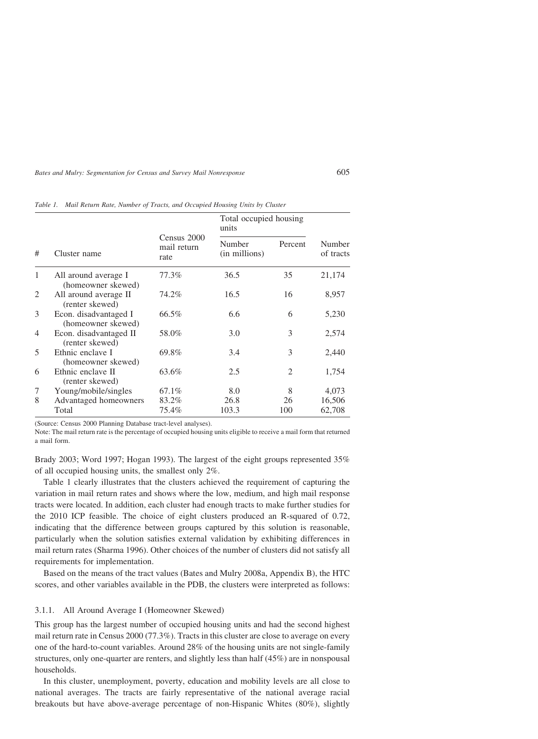| #              | Cluster name                                | Census 2000<br>mail return<br>rate | Total occupied housing<br>units |                |                     |
|----------------|---------------------------------------------|------------------------------------|---------------------------------|----------------|---------------------|
|                |                                             |                                    | Number<br>(in millions)         | Percent        | Number<br>of tracts |
| 1              | All around average I<br>(homeowner skewed)  | 77.3%                              | 36.5                            | 35             | 21,174              |
| 2              | All around average II<br>(renter skewed)    | 74.2%                              | 16.5                            | 16             | 8,957               |
| 3              | Econ. disadvantaged I<br>(homeowner skewed) | 66.5%                              | 6.6                             | 6              | 5,230               |
| $\overline{4}$ | Econ. disadvantaged II<br>(renter skewed)   | 58.0%                              | 3.0                             | 3              | 2,574               |
| 5              | Ethnic enclave I<br>(homeowner skewed)      | 69.8%                              | 3.4                             | 3              | 2,440               |
| 6              | Ethnic enclave II<br>(renter skewed)        | 63.6%                              | 2.5                             | $\overline{2}$ | 1,754               |
| 7              | Young/mobile/singles                        | 67.1%                              | 8.0                             | 8              | 4,073               |
| 8              | Advantaged homeowners                       | 83.2%                              | 26.8                            | 26             | 16,506              |
|                | Total                                       | 75.4%                              | 103.3                           | 100            | 62,708              |

Table 1. Mail Return Rate, Number of Tracts, and Occupied Housing Units by Cluster

(Source: Census 2000 Planning Database tract-level analyses).

Note: The mail return rate is the percentage of occupied housing units eligible to receive a mail form that returned a mail form.

Brady 2003; Word 1997; Hogan 1993). The largest of the eight groups represented 35% of all occupied housing units, the smallest only 2%.

Table 1 clearly illustrates that the clusters achieved the requirement of capturing the variation in mail return rates and shows where the low, medium, and high mail response tracts were located. In addition, each cluster had enough tracts to make further studies for the 2010 ICP feasible. The choice of eight clusters produced an R-squared of 0.72, indicating that the difference between groups captured by this solution is reasonable, particularly when the solution satisfies external validation by exhibiting differences in mail return rates (Sharma 1996). Other choices of the number of clusters did not satisfy all requirements for implementation.

Based on the means of the tract values (Bates and Mulry 2008a, Appendix B), the HTC scores, and other variables available in the PDB, the clusters were interpreted as follows:

#### 3.1.1. All Around Average I (Homeowner Skewed)

This group has the largest number of occupied housing units and had the second highest mail return rate in Census 2000 (77.3%). Tracts in this cluster are close to average on every one of the hard-to-count variables. Around 28% of the housing units are not single-family structures, only one-quarter are renters, and slightly less than half (45%) are in nonspousal households.

In this cluster, unemployment, poverty, education and mobility levels are all close to national averages. The tracts are fairly representative of the national average racial breakouts but have above-average percentage of non-Hispanic Whites (80%), slightly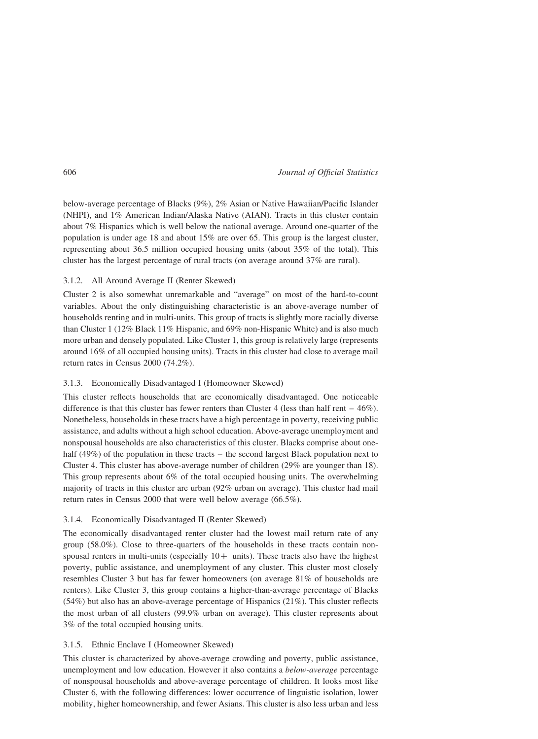below-average percentage of Blacks (9%), 2% Asian or Native Hawaiian/Pacific Islander (NHPI), and 1% American Indian/Alaska Native (AIAN). Tracts in this cluster contain about 7% Hispanics which is well below the national average. Around one-quarter of the population is under age 18 and about 15% are over 65. This group is the largest cluster, representing about 36.5 million occupied housing units (about 35% of the total). This cluster has the largest percentage of rural tracts (on average around 37% are rural).

# 3.1.2. All Around Average II (Renter Skewed)

Cluster 2 is also somewhat unremarkable and "average" on most of the hard-to-count variables. About the only distinguishing characteristic is an above-average number of households renting and in multi-units. This group of tracts is slightly more racially diverse than Cluster 1 (12% Black 11% Hispanic, and 69% non-Hispanic White) and is also much more urban and densely populated. Like Cluster 1, this group is relatively large (represents around 16% of all occupied housing units). Tracts in this cluster had close to average mail return rates in Census 2000 (74.2%).

# 3.1.3. Economically Disadvantaged I (Homeowner Skewed)

This cluster reflects households that are economically disadvantaged. One noticeable difference is that this cluster has fewer renters than Cluster 4 (less than half rent – 46%). Nonetheless, households in these tracts have a high percentage in poverty, receiving public assistance, and adults without a high school education. Above-average unemployment and nonspousal households are also characteristics of this cluster. Blacks comprise about onehalf (49%) of the population in these tracts – the second largest Black population next to Cluster 4. This cluster has above-average number of children (29% are younger than 18). This group represents about 6% of the total occupied housing units. The overwhelming majority of tracts in this cluster are urban (92% urban on average). This cluster had mail return rates in Census 2000 that were well below average (66.5%).

### 3.1.4. Economically Disadvantaged II (Renter Skewed)

The economically disadvantaged renter cluster had the lowest mail return rate of any group (58.0%). Close to three-quarters of the households in these tracts contain nonspousal renters in multi-units (especially  $10+$  units). These tracts also have the highest poverty, public assistance, and unemployment of any cluster. This cluster most closely resembles Cluster 3 but has far fewer homeowners (on average 81% of households are renters). Like Cluster 3, this group contains a higher-than-average percentage of Blacks  $(54%)$  but also has an above-average percentage of Hispanics  $(21%)$ . This cluster reflects the most urban of all clusters (99.9% urban on average). This cluster represents about 3% of the total occupied housing units.

#### 3.1.5. Ethnic Enclave I (Homeowner Skewed)

This cluster is characterized by above-average crowding and poverty, public assistance, unemployment and low education. However it also contains a below-average percentage of nonspousal households and above-average percentage of children. It looks most like Cluster 6, with the following differences: lower occurrence of linguistic isolation, lower mobility, higher homeownership, and fewer Asians. This cluster is also less urban and less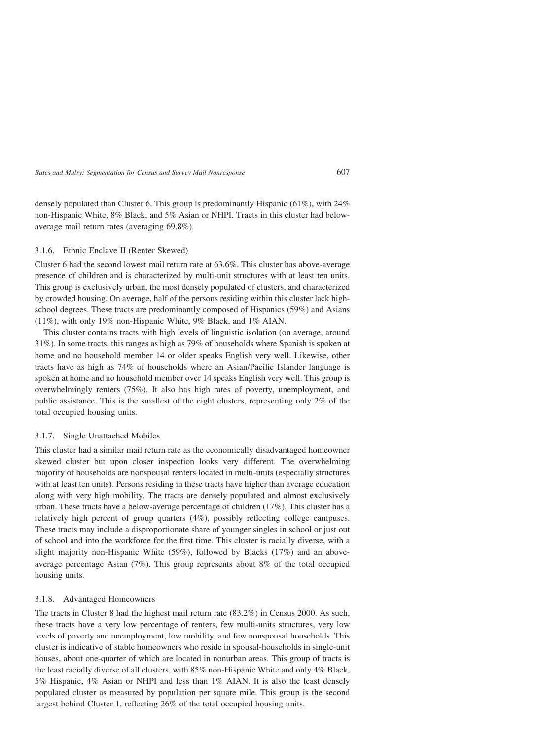densely populated than Cluster 6. This group is predominantly Hispanic (61%), with 24% non-Hispanic White, 8% Black, and 5% Asian or NHPI. Tracts in this cluster had belowaverage mail return rates (averaging 69.8%).

#### 3.1.6. Ethnic Enclave II (Renter Skewed)

Cluster 6 had the second lowest mail return rate at 63.6%. This cluster has above-average presence of children and is characterized by multi-unit structures with at least ten units. This group is exclusively urban, the most densely populated of clusters, and characterized by crowded housing. On average, half of the persons residing within this cluster lack highschool degrees. These tracts are predominantly composed of Hispanics (59%) and Asians (11%), with only 19% non-Hispanic White, 9% Black, and 1% AIAN.

This cluster contains tracts with high levels of linguistic isolation (on average, around 31%). In some tracts, this ranges as high as 79% of households where Spanish is spoken at home and no household member 14 or older speaks English very well. Likewise, other tracts have as high as 74% of households where an Asian/Pacific Islander language is spoken at home and no household member over 14 speaks English very well. This group is overwhelmingly renters (75%). It also has high rates of poverty, unemployment, and public assistance. This is the smallest of the eight clusters, representing only 2% of the total occupied housing units.

# 3.1.7. Single Unattached Mobiles

This cluster had a similar mail return rate as the economically disadvantaged homeowner skewed cluster but upon closer inspection looks very different. The overwhelming majority of households are nonspousal renters located in multi-units (especially structures with at least ten units). Persons residing in these tracts have higher than average education along with very high mobility. The tracts are densely populated and almost exclusively urban. These tracts have a below-average percentage of children (17%). This cluster has a relatively high percent of group quarters (4%), possibly reflecting college campuses. These tracts may include a disproportionate share of younger singles in school or just out of school and into the workforce for the first time. This cluster is racially diverse, with a slight majority non-Hispanic White (59%), followed by Blacks (17%) and an aboveaverage percentage Asian (7%). This group represents about 8% of the total occupied housing units.

# 3.1.8. Advantaged Homeowners

The tracts in Cluster 8 had the highest mail return rate (83.2%) in Census 2000. As such, these tracts have a very low percentage of renters, few multi-units structures, very low levels of poverty and unemployment, low mobility, and few nonspousal households. This cluster is indicative of stable homeowners who reside in spousal-households in single-unit houses, about one-quarter of which are located in nonurban areas. This group of tracts is the least racially diverse of all clusters, with 85% non-Hispanic White and only 4% Black, 5% Hispanic, 4% Asian or NHPI and less than 1% AIAN. It is also the least densely populated cluster as measured by population per square mile. This group is the second largest behind Cluster 1, reflecting 26% of the total occupied housing units.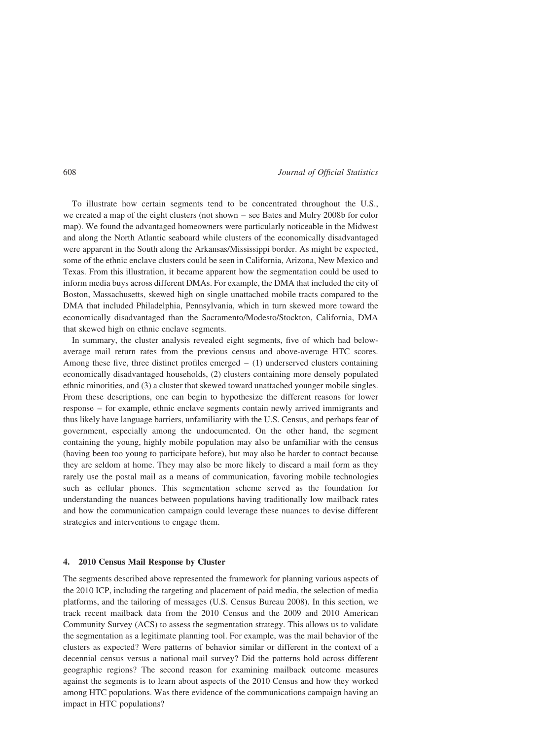To illustrate how certain segments tend to be concentrated throughout the U.S., we created a map of the eight clusters (not shown – see Bates and Mulry 2008b for color map). We found the advantaged homeowners were particularly noticeable in the Midwest and along the North Atlantic seaboard while clusters of the economically disadvantaged were apparent in the South along the Arkansas/Mississippi border. As might be expected, some of the ethnic enclave clusters could be seen in California, Arizona, New Mexico and Texas. From this illustration, it became apparent how the segmentation could be used to inform media buys across different DMAs. For example, the DMA that included the city of Boston, Massachusetts, skewed high on single unattached mobile tracts compared to the DMA that included Philadelphia, Pennsylvania, which in turn skewed more toward the economically disadvantaged than the Sacramento/Modesto/Stockton, California, DMA that skewed high on ethnic enclave segments.

In summary, the cluster analysis revealed eight segments, five of which had belowaverage mail return rates from the previous census and above-average HTC scores. Among these five, three distinct profiles emerged  $-$  (1) underserved clusters containing economically disadvantaged households, (2) clusters containing more densely populated ethnic minorities, and (3) a cluster that skewed toward unattached younger mobile singles. From these descriptions, one can begin to hypothesize the different reasons for lower response – for example, ethnic enclave segments contain newly arrived immigrants and thus likely have language barriers, unfamiliarity with the U.S. Census, and perhaps fear of government, especially among the undocumented. On the other hand, the segment containing the young, highly mobile population may also be unfamiliar with the census (having been too young to participate before), but may also be harder to contact because they are seldom at home. They may also be more likely to discard a mail form as they rarely use the postal mail as a means of communication, favoring mobile technologies such as cellular phones. This segmentation scheme served as the foundation for understanding the nuances between populations having traditionally low mailback rates and how the communication campaign could leverage these nuances to devise different strategies and interventions to engage them.

# 4. 2010 Census Mail Response by Cluster

The segments described above represented the framework for planning various aspects of the 2010 ICP, including the targeting and placement of paid media, the selection of media platforms, and the tailoring of messages (U.S. Census Bureau 2008). In this section, we track recent mailback data from the 2010 Census and the 2009 and 2010 American Community Survey (ACS) to assess the segmentation strategy. This allows us to validate the segmentation as a legitimate planning tool. For example, was the mail behavior of the clusters as expected? Were patterns of behavior similar or different in the context of a decennial census versus a national mail survey? Did the patterns hold across different geographic regions? The second reason for examining mailback outcome measures against the segments is to learn about aspects of the 2010 Census and how they worked among HTC populations. Was there evidence of the communications campaign having an impact in HTC populations?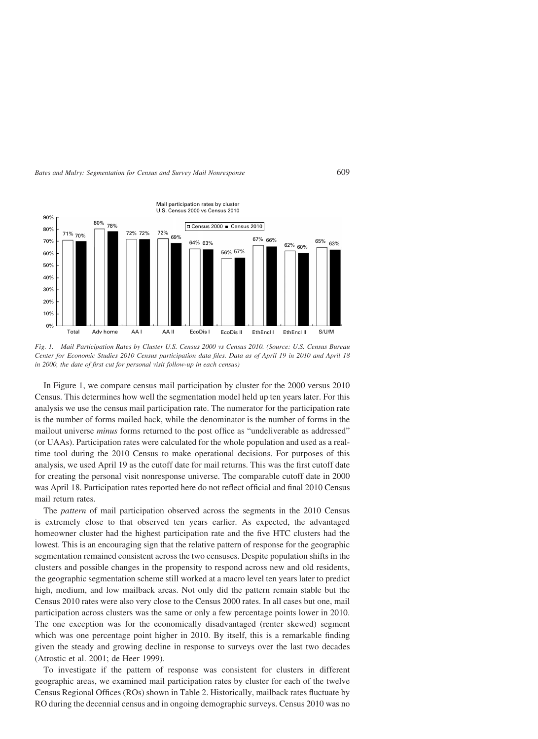

Fig. 1. Mail Participation Rates by Cluster U.S. Census 2000 vs Census 2010. (Source: U.S. Census Bureau Center for Economic Studies 2010 Census participation data files. Data as of April 19 in 2010 and April 18 in 2000, the date of first cut for personal visit follow-up in each census)

In Figure 1, we compare census mail participation by cluster for the 2000 versus 2010 Census. This determines how well the segmentation model held up ten years later. For this analysis we use the census mail participation rate. The numerator for the participation rate is the number of forms mailed back, while the denominator is the number of forms in the mailout universe *minus* forms returned to the post office as "undeliverable as addressed" (or UAAs). Participation rates were calculated for the whole population and used as a realtime tool during the 2010 Census to make operational decisions. For purposes of this analysis, we used April 19 as the cutoff date for mail returns. This was the first cutoff date for creating the personal visit nonresponse universe. The comparable cutoff date in 2000 was April 18. Participation rates reported here do not reflect official and final 2010 Census mail return rates.

The pattern of mail participation observed across the segments in the 2010 Census is extremely close to that observed ten years earlier. As expected, the advantaged homeowner cluster had the highest participation rate and the five HTC clusters had the lowest. This is an encouraging sign that the relative pattern of response for the geographic segmentation remained consistent across the two censuses. Despite population shifts in the clusters and possible changes in the propensity to respond across new and old residents, the geographic segmentation scheme still worked at a macro level ten years later to predict high, medium, and low mailback areas. Not only did the pattern remain stable but the Census 2010 rates were also very close to the Census 2000 rates. In all cases but one, mail participation across clusters was the same or only a few percentage points lower in 2010. The one exception was for the economically disadvantaged (renter skewed) segment which was one percentage point higher in 2010. By itself, this is a remarkable finding given the steady and growing decline in response to surveys over the last two decades (Atrostic et al. 2001; de Heer 1999).

To investigate if the pattern of response was consistent for clusters in different geographic areas, we examined mail participation rates by cluster for each of the twelve Census Regional Offices (ROs) shown in Table 2. Historically, mailback rates fluctuate by RO during the decennial census and in ongoing demographic surveys. Census 2010 was no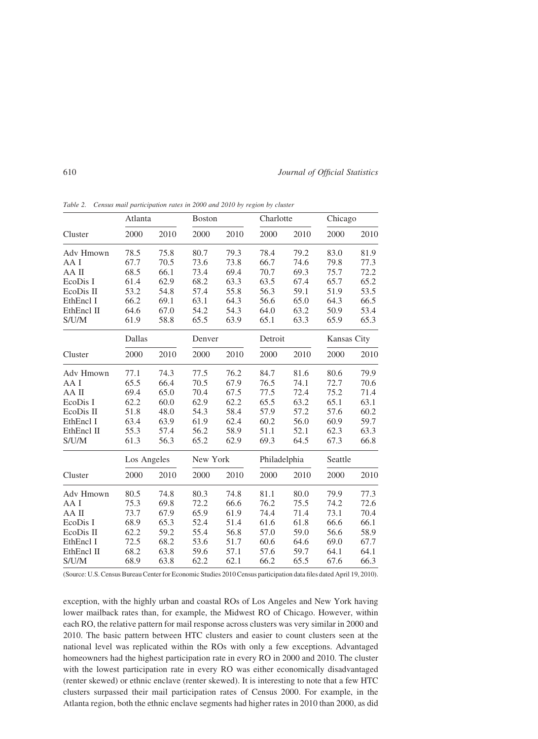610 Journal of Official Statistics

|            | Atlanta     |      | <b>Boston</b> |      | Charlotte    |      | Chicago     |      |
|------------|-------------|------|---------------|------|--------------|------|-------------|------|
| Cluster    | 2000        | 2010 | 2000          | 2010 | 2000         | 2010 | 2000        | 2010 |
| Adv Hmown  | 78.5        | 75.8 | 80.7          | 79.3 | 78.4         | 79.2 | 83.0        | 81.9 |
| AA I       | 67.7        | 70.5 | 73.6          | 73.8 | 66.7         | 74.6 | 79.8        | 77.3 |
| AA II      | 68.5        | 66.1 | 73.4          | 69.4 | 70.7         | 69.3 | 75.7        | 72.2 |
| EcoDis I   | 61.4        | 62.9 | 68.2          | 63.3 | 63.5         | 67.4 | 65.7        | 65.2 |
| EcoDis II  | 53.2        | 54.8 | 57.4          | 55.8 | 56.3         | 59.1 | 51.9        | 53.5 |
| EthEncl I  | 66.2        | 69.1 | 63.1          | 64.3 | 56.6         | 65.0 | 64.3        | 66.5 |
| EthEncl II | 64.6        | 67.0 | 54.2          | 54.3 | 64.0         | 63.2 | 50.9        | 53.4 |
| S/U/M      | 61.9        | 58.8 | 65.5          | 63.9 | 65.1         | 63.3 | 65.9        | 65.3 |
|            | Dallas      |      | Denver        |      | Detroit      |      | Kansas City |      |
| Cluster    | 2000        | 2010 | 2000          | 2010 | 2000         | 2010 | 2000        | 2010 |
| Adv Hmown  | 77.1        | 74.3 | 77.5          | 76.2 | 84.7         | 81.6 | 80.6        | 79.9 |
| AA I       | 65.5        | 66.4 | 70.5          | 67.9 | 76.5         | 74.1 | 72.7        | 70.6 |
| AA II      | 69.4        | 65.0 | 70.4          | 67.5 | 77.5         | 72.4 | 75.2        | 71.4 |
| EcoDis I   | 62.2        | 60.0 | 62.9          | 62.2 | 65.5         | 63.2 | 65.1        | 63.1 |
| EcoDis II  | 51.8        | 48.0 | 54.3          | 58.4 | 57.9         | 57.2 | 57.6        | 60.2 |
| EthEncl I  | 63.4        | 63.9 | 61.9          | 62.4 | 60.2         | 56.0 | 60.9        | 59.7 |
| EthEncl II | 55.3        | 57.4 | 56.2          | 58.9 | 51.1         | 52.1 | 62.3        | 63.3 |
| S/U/M      | 61.3        | 56.3 | 65.2          | 62.9 | 69.3         | 64.5 | 67.3        | 66.8 |
|            | Los Angeles |      | New York      |      | Philadelphia |      | Seattle     |      |
| Cluster    | 2000        | 2010 | 2000          | 2010 | 2000         | 2010 | 2000        | 2010 |
| Adv Hmown  | 80.5        | 74.8 | 80.3          | 74.8 | 81.1         | 80.0 | 79.9        | 77.3 |
| AA I       | 75.3        | 69.8 | 72.2          | 66.6 | 76.2         | 75.5 | 74.2        | 72.6 |
| AA II      | 73.7        | 67.9 | 65.9          | 61.9 | 74.4         | 71.4 | 73.1        | 70.4 |
| EcoDis I   | 68.9        | 65.3 | 52.4          | 51.4 | 61.6         | 61.8 | 66.6        | 66.1 |
| EcoDis II  | 62.2        | 59.2 | 55.4          | 56.8 | 57.0         | 59.0 | 56.6        | 58.9 |
| EthEncl I  | 72.5        | 68.2 | 53.6          | 51.7 | 60.6         | 64.6 | 69.0        | 67.7 |
| EthEncl II | 68.2        | 63.8 | 59.6          | 57.1 | 57.6         | 59.7 | 64.1        | 64.1 |
| S/UM       | 68.9        | 63.8 | 62.2          | 62.1 | 66.2         | 65.5 | 67.6        | 66.3 |

Table 2. Census mail participation rates in 2000 and 2010 by region by cluster

(Source: U.S. Census Bureau Center for Economic Studies 2010 Census participation data files dated April 19, 2010).

exception, with the highly urban and coastal ROs of Los Angeles and New York having lower mailback rates than, for example, the Midwest RO of Chicago. However, within each RO, the relative pattern for mail response across clusters was very similar in 2000 and 2010. The basic pattern between HTC clusters and easier to count clusters seen at the national level was replicated within the ROs with only a few exceptions. Advantaged homeowners had the highest participation rate in every RO in 2000 and 2010. The cluster with the lowest participation rate in every RO was either economically disadvantaged (renter skewed) or ethnic enclave (renter skewed). It is interesting to note that a few HTC clusters surpassed their mail participation rates of Census 2000. For example, in the Atlanta region, both the ethnic enclave segments had higher rates in 2010 than 2000, as did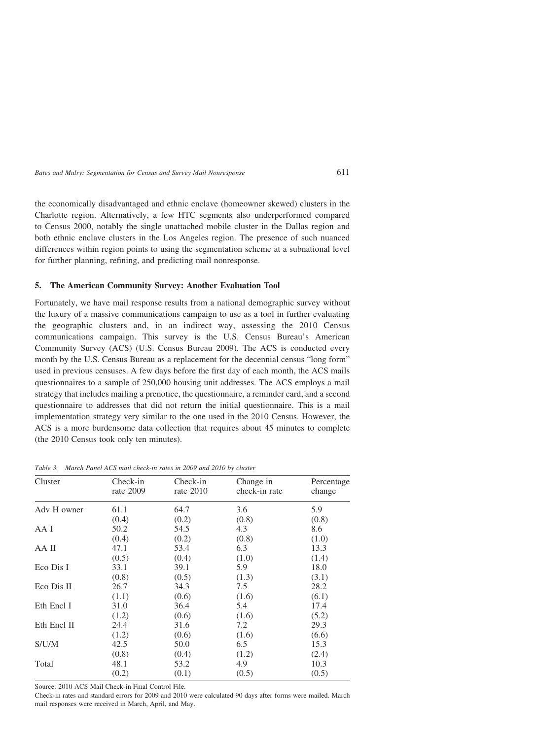the economically disadvantaged and ethnic enclave (homeowner skewed) clusters in the Charlotte region. Alternatively, a few HTC segments also underperformed compared to Census 2000, notably the single unattached mobile cluster in the Dallas region and both ethnic enclave clusters in the Los Angeles region. The presence of such nuanced differences within region points to using the segmentation scheme at a subnational level for further planning, refining, and predicting mail nonresponse.

# 5. The American Community Survey: Another Evaluation Tool

Fortunately, we have mail response results from a national demographic survey without the luxury of a massive communications campaign to use as a tool in further evaluating the geographic clusters and, in an indirect way, assessing the 2010 Census communications campaign. This survey is the U.S. Census Bureau's American Community Survey (ACS) (U.S. Census Bureau 2009). The ACS is conducted every month by the U.S. Census Bureau as a replacement for the decennial census "long form" used in previous censuses. A few days before the first day of each month, the ACS mails questionnaires to a sample of 250,000 housing unit addresses. The ACS employs a mail strategy that includes mailing a prenotice, the questionnaire, a reminder card, and a second questionnaire to addresses that did not return the initial questionnaire. This is a mail implementation strategy very similar to the one used in the 2010 Census. However, the ACS is a more burdensome data collection that requires about 45 minutes to complete (the 2010 Census took only ten minutes).

Table 3. March Panel ACS mail check-in rates in 2009 and 2010 by cluster

| Cluster     | Check-in<br>rate 2009 | Check-in<br>rate $2010$ | Change in<br>check-in rate | Percentage<br>change |
|-------------|-----------------------|-------------------------|----------------------------|----------------------|
| Adv H owner | 61.1                  | 64.7                    | 3.6                        | 5.9                  |
|             | (0.4)                 | (0.2)                   | (0.8)                      | (0.8)                |
| AA I        | 50.2                  | 54.5                    | 4.3                        | 8.6                  |
|             | (0.4)                 | (0.2)                   | (0.8)                      | (1.0)                |
| AA II       | 47.1                  | 53.4                    | 6.3                        | 13.3                 |
|             | (0.5)                 | (0.4)                   | (1.0)                      | (1.4)                |
| Eco Dis I   | 33.1                  | 39.1                    | 5.9                        | 18.0                 |
|             | (0.8)                 | (0.5)                   | (1.3)                      | (3.1)                |
| Eco Dis II  | 26.7                  | 34.3                    | 7.5                        | 28.2                 |
|             | (1.1)                 | (0.6)                   | (1.6)                      | (6.1)                |
| Eth Encl I  | 31.0                  | 36.4                    | 5.4                        | 17.4                 |
|             | (1.2)                 | (0.6)                   | (1.6)                      | (5.2)                |
| Eth Encl II | 24.4                  | 31.6                    | 7.2                        | 29.3                 |
|             | (1.2)                 | (0.6)                   | (1.6)                      | (6.6)                |
| S/U/M       | 42.5                  | 50.0                    | 6.5                        | 15.3                 |
|             | (0.8)                 | (0.4)                   | (1.2)                      | (2.4)                |
| Total       | 48.1                  | 53.2                    | 4.9                        | 10.3                 |
|             | (0.2)                 | (0.1)                   | (0.5)                      | (0.5)                |

Source: 2010 ACS Mail Check-in Final Control File.

Check-in rates and standard errors for 2009 and 2010 were calculated 90 days after forms were mailed. March mail responses were received in March, April, and May.

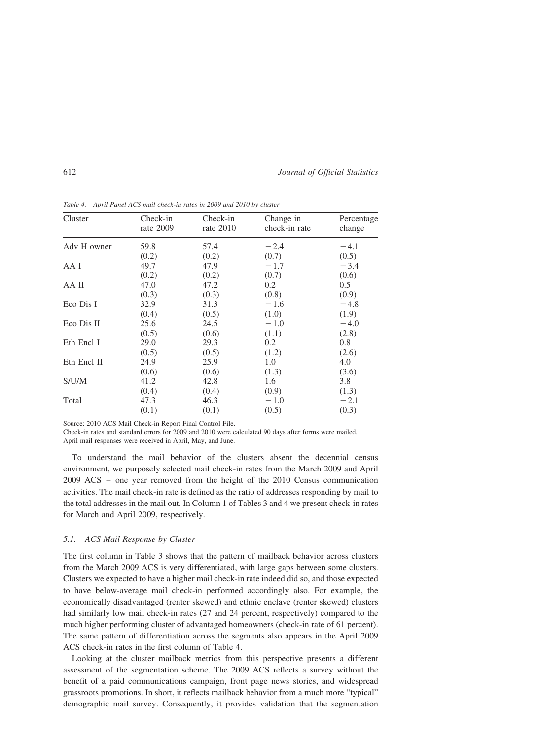612 Journal of Official Statistics

| Cluster     | Check-in<br>rate 2009 | Check-in<br>rate 2010 | Change in<br>check-in rate | Percentage<br>change |
|-------------|-----------------------|-----------------------|----------------------------|----------------------|
| Adv H owner | 59.8                  | 57.4                  | $-2.4$                     | $-4.1$               |
|             | (0.2)                 | (0.2)                 | (0.7)                      | (0.5)                |
| AA I        | 49.7                  | 47.9                  | $-1.7$                     | $-3.4$               |
|             | (0.2)                 | (0.2)                 | (0.7)                      | (0.6)                |
| AA II       | 47.0                  | 47.2                  | 0.2                        | 0.5                  |
|             | (0.3)                 | (0.3)                 | (0.8)                      | (0.9)                |
| Eco Dis I   | 32.9                  | 31.3                  | $-1.6$                     | $-4.8$               |
|             | (0.4)                 | (0.5)                 | (1.0)                      | (1.9)                |
| Eco Dis II  | 25.6                  | 24.5                  | $-1.0$                     | $-4.0$               |
|             | (0.5)                 | (0.6)                 | (1.1)                      | (2.8)                |
| Eth Encl I  | 29.0                  | 29.3                  | 0.2                        | 0.8                  |
|             | (0.5)                 | (0.5)                 | (1.2)                      | (2.6)                |
| Eth Encl II | 24.9                  | 25.9                  | 1.0                        | 4.0                  |
|             | (0.6)                 | (0.6)                 | (1.3)                      | (3.6)                |
| S/U/M       | 41.2                  | 42.8                  | 1.6                        | 3.8                  |
|             | (0.4)                 | (0.4)                 | (0.9)                      | (1.3)                |
| Total       | 47.3                  | 46.3                  | $-1.0$                     | $-2.1$               |
|             | (0.1)                 | (0.1)                 | (0.5)                      | (0.3)                |

Table 4. April Panel ACS mail check-in rates in 2009 and 2010 by cluster

Source: 2010 ACS Mail Check-in Report Final Control File.

Check-in rates and standard errors for 2009 and 2010 were calculated 90 days after forms were mailed. April mail responses were received in April, May, and June.

To understand the mail behavior of the clusters absent the decennial census environment, we purposely selected mail check-in rates from the March 2009 and April 2009 ACS – one year removed from the height of the 2010 Census communication activities. The mail check-in rate is defined as the ratio of addresses responding by mail to the total addresses in the mail out. In Column 1 of Tables 3 and 4 we present check-in rates for March and April 2009, respectively.

#### 5.1. ACS Mail Response by Cluster

The first column in Table 3 shows that the pattern of mailback behavior across clusters from the March 2009 ACS is very differentiated, with large gaps between some clusters. Clusters we expected to have a higher mail check-in rate indeed did so, and those expected to have below-average mail check-in performed accordingly also. For example, the economically disadvantaged (renter skewed) and ethnic enclave (renter skewed) clusters had similarly low mail check-in rates (27 and 24 percent, respectively) compared to the much higher performing cluster of advantaged homeowners (check-in rate of 61 percent). The same pattern of differentiation across the segments also appears in the April 2009 ACS check-in rates in the first column of Table 4.

Looking at the cluster mailback metrics from this perspective presents a different assessment of the segmentation scheme. The 2009 ACS reflects a survey without the benefit of a paid communications campaign, front page news stories, and widespread grassroots promotions. In short, it reflects mailback behavior from a much more "typical" demographic mail survey. Consequently, it provides validation that the segmentation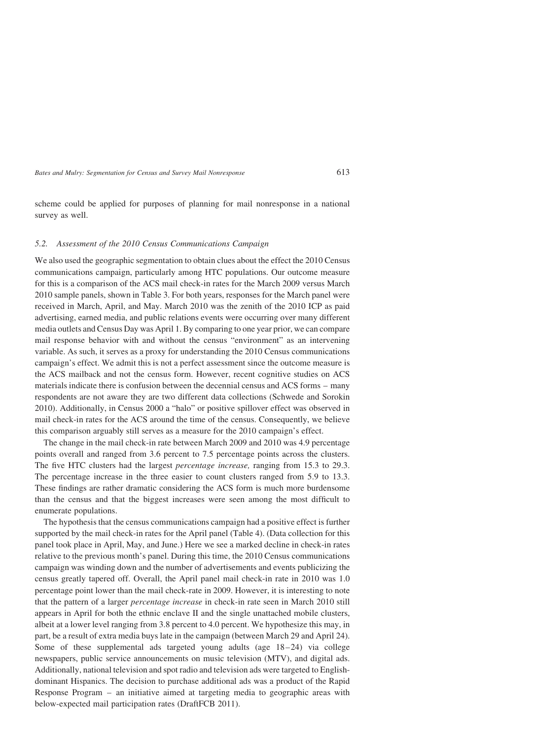scheme could be applied for purposes of planning for mail nonresponse in a national survey as well.

#### 5.2. Assessment of the 2010 Census Communications Campaign

We also used the geographic segmentation to obtain clues about the effect the 2010 Census communications campaign, particularly among HTC populations. Our outcome measure for this is a comparison of the ACS mail check-in rates for the March 2009 versus March 2010 sample panels, shown in Table 3. For both years, responses for the March panel were received in March, April, and May. March 2010 was the zenith of the 2010 ICP as paid advertising, earned media, and public relations events were occurring over many different media outlets and Census Day was April 1. By comparing to one year prior, we can compare mail response behavior with and without the census "environment" as an intervening variable. As such, it serves as a proxy for understanding the 2010 Census communications campaign's effect. We admit this is not a perfect assessment since the outcome measure is the ACS mailback and not the census form. However, recent cognitive studies on ACS materials indicate there is confusion between the decennial census and ACS forms – many respondents are not aware they are two different data collections (Schwede and Sorokin 2010). Additionally, in Census 2000 a "halo" or positive spillover effect was observed in mail check-in rates for the ACS around the time of the census. Consequently, we believe this comparison arguably still serves as a measure for the 2010 campaign's effect.

The change in the mail check-in rate between March 2009 and 2010 was 4.9 percentage points overall and ranged from 3.6 percent to 7.5 percentage points across the clusters. The five HTC clusters had the largest percentage increase, ranging from 15.3 to 29.3. The percentage increase in the three easier to count clusters ranged from 5.9 to 13.3. These findings are rather dramatic considering the ACS form is much more burdensome than the census and that the biggest increases were seen among the most difficult to enumerate populations.

The hypothesis that the census communications campaign had a positive effect is further supported by the mail check-in rates for the April panel (Table 4). (Data collection for this panel took place in April, May, and June.) Here we see a marked decline in check-in rates relative to the previous month's panel. During this time, the 2010 Census communications campaign was winding down and the number of advertisements and events publicizing the census greatly tapered off. Overall, the April panel mail check-in rate in 2010 was 1.0 percentage point lower than the mail check-rate in 2009. However, it is interesting to note that the pattern of a larger percentage increase in check-in rate seen in March 2010 still appears in April for both the ethnic enclave II and the single unattached mobile clusters, albeit at a lower level ranging from 3.8 percent to 4.0 percent. We hypothesize this may, in part, be a result of extra media buys late in the campaign (between March 29 and April 24). Some of these supplemental ads targeted young adults (age  $18-24$ ) via college newspapers, public service announcements on music television (MTV), and digital ads. Additionally, national television and spot radio and television ads were targeted to Englishdominant Hispanics. The decision to purchase additional ads was a product of the Rapid Response Program – an initiative aimed at targeting media to geographic areas with below-expected mail participation rates (DraftFCB 2011).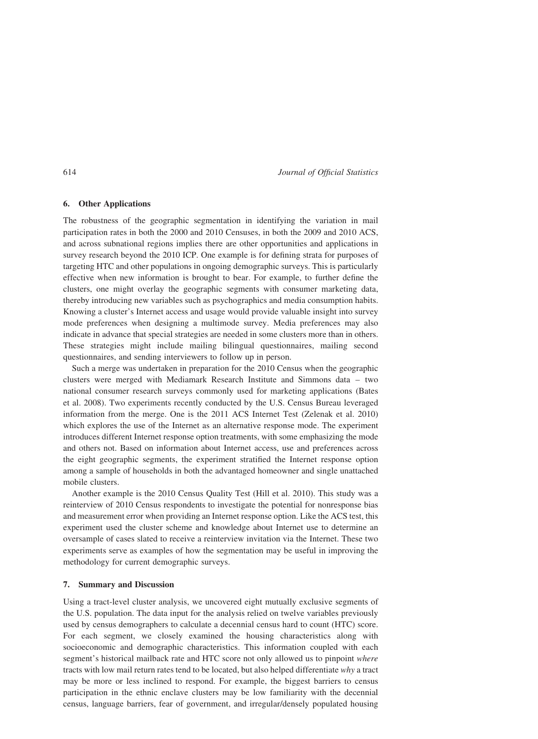#### 6. Other Applications

The robustness of the geographic segmentation in identifying the variation in mail participation rates in both the 2000 and 2010 Censuses, in both the 2009 and 2010 ACS, and across subnational regions implies there are other opportunities and applications in survey research beyond the 2010 ICP. One example is for defining strata for purposes of targeting HTC and other populations in ongoing demographic surveys. This is particularly effective when new information is brought to bear. For example, to further define the clusters, one might overlay the geographic segments with consumer marketing data, thereby introducing new variables such as psychographics and media consumption habits. Knowing a cluster's Internet access and usage would provide valuable insight into survey mode preferences when designing a multimode survey. Media preferences may also indicate in advance that special strategies are needed in some clusters more than in others. These strategies might include mailing bilingual questionnaires, mailing second questionnaires, and sending interviewers to follow up in person.

Such a merge was undertaken in preparation for the 2010 Census when the geographic clusters were merged with Mediamark Research Institute and Simmons data – two national consumer research surveys commonly used for marketing applications (Bates et al. 2008). Two experiments recently conducted by the U.S. Census Bureau leveraged information from the merge. One is the 2011 ACS Internet Test (Zelenak et al. 2010) which explores the use of the Internet as an alternative response mode. The experiment introduces different Internet response option treatments, with some emphasizing the mode and others not. Based on information about Internet access, use and preferences across the eight geographic segments, the experiment stratified the Internet response option among a sample of households in both the advantaged homeowner and single unattached mobile clusters.

Another example is the 2010 Census Quality Test (Hill et al. 2010). This study was a reinterview of 2010 Census respondents to investigate the potential for nonresponse bias and measurement error when providing an Internet response option. Like the ACS test, this experiment used the cluster scheme and knowledge about Internet use to determine an oversample of cases slated to receive a reinterview invitation via the Internet. These two experiments serve as examples of how the segmentation may be useful in improving the methodology for current demographic surveys.

# 7. Summary and Discussion

Using a tract-level cluster analysis, we uncovered eight mutually exclusive segments of the U.S. population. The data input for the analysis relied on twelve variables previously used by census demographers to calculate a decennial census hard to count (HTC) score. For each segment, we closely examined the housing characteristics along with socioeconomic and demographic characteristics. This information coupled with each segment's historical mailback rate and HTC score not only allowed us to pinpoint where tracts with low mail return rates tend to be located, but also helped differentiate why a tract may be more or less inclined to respond. For example, the biggest barriers to census participation in the ethnic enclave clusters may be low familiarity with the decennial census, language barriers, fear of government, and irregular/densely populated housing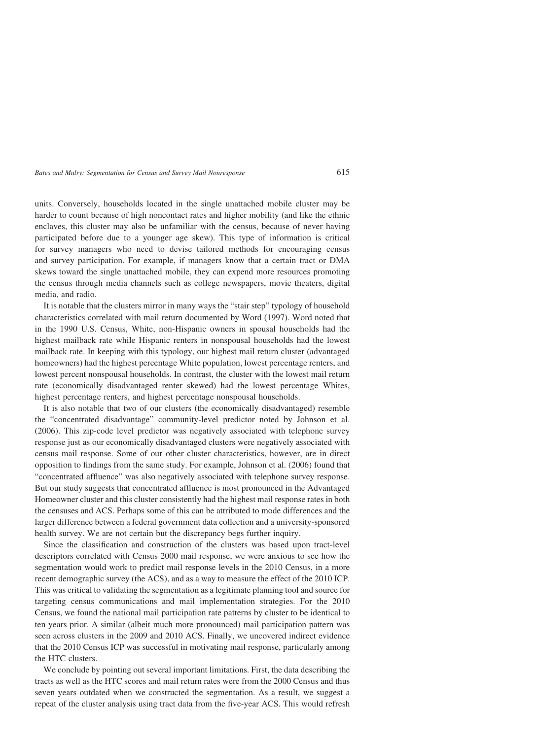units. Conversely, households located in the single unattached mobile cluster may be harder to count because of high noncontact rates and higher mobility (and like the ethnic enclaves, this cluster may also be unfamiliar with the census, because of never having participated before due to a younger age skew). This type of information is critical for survey managers who need to devise tailored methods for encouraging census and survey participation. For example, if managers know that a certain tract or DMA skews toward the single unattached mobile, they can expend more resources promoting the census through media channels such as college newspapers, movie theaters, digital media, and radio.

It is notable that the clusters mirror in many ways the "stair step" typology of household characteristics correlated with mail return documented by Word (1997). Word noted that in the 1990 U.S. Census, White, non-Hispanic owners in spousal households had the highest mailback rate while Hispanic renters in nonspousal households had the lowest mailback rate. In keeping with this typology, our highest mail return cluster (advantaged homeowners) had the highest percentage White population, lowest percentage renters, and lowest percent nonspousal households. In contrast, the cluster with the lowest mail return rate (economically disadvantaged renter skewed) had the lowest percentage Whites, highest percentage renters, and highest percentage nonspousal households.

It is also notable that two of our clusters (the economically disadvantaged) resemble the "concentrated disadvantage" community-level predictor noted by Johnson et al. (2006). This zip-code level predictor was negatively associated with telephone survey response just as our economically disadvantaged clusters were negatively associated with census mail response. Some of our other cluster characteristics, however, are in direct opposition to findings from the same study. For example, Johnson et al. (2006) found that "concentrated affluence" was also negatively associated with telephone survey response. But our study suggests that concentrated affluence is most pronounced in the Advantaged Homeowner cluster and this cluster consistently had the highest mail response rates in both the censuses and ACS. Perhaps some of this can be attributed to mode differences and the larger difference between a federal government data collection and a university-sponsored health survey. We are not certain but the discrepancy begs further inquiry.

Since the classification and construction of the clusters was based upon tract-level descriptors correlated with Census 2000 mail response, we were anxious to see how the segmentation would work to predict mail response levels in the 2010 Census, in a more recent demographic survey (the ACS), and as a way to measure the effect of the 2010 ICP. This was critical to validating the segmentation as a legitimate planning tool and source for targeting census communications and mail implementation strategies. For the 2010 Census, we found the national mail participation rate patterns by cluster to be identical to ten years prior. A similar (albeit much more pronounced) mail participation pattern was seen across clusters in the 2009 and 2010 ACS. Finally, we uncovered indirect evidence that the 2010 Census ICP was successful in motivating mail response, particularly among the HTC clusters.

We conclude by pointing out several important limitations. First, the data describing the tracts as well as the HTC scores and mail return rates were from the 2000 Census and thus seven years outdated when we constructed the segmentation. As a result, we suggest a repeat of the cluster analysis using tract data from the five-year ACS. This would refresh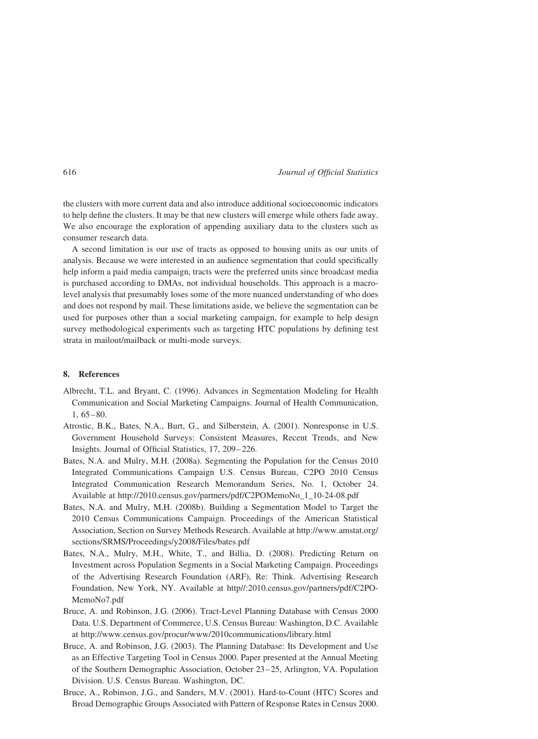the clusters with more current data and also introduce additional socioeconomic indicators to help define the clusters. It may be that new clusters will emerge while others fade away. We also encourage the exploration of appending auxiliary data to the clusters such as consumer research data.

A second limitation is our use of tracts as opposed to housing units as our units of analysis. Because we were interested in an audience segmentation that could specifically help inform a paid media campaign, tracts were the preferred units since broadcast media is purchased according to DMAs, not individual households. This approach is a macrolevel analysis that presumably loses some of the more nuanced understanding of who does and does not respond by mail. These limitations aside, we believe the segmentation can be used for purposes other than a social marketing campaign, for example to help design survey methodological experiments such as targeting HTC populations by defining test strata in mailout/mailback or multi-mode surveys.

### 8. References

- Albrecht, T.L. and Bryant, C. (1996). Advances in Segmentation Modeling for Health Communication and Social Marketing Campaigns. Journal of Health Communication,  $1,65 - 80.$
- Atrostic, B.K., Bates, N.A., Burt, G., and Silberstein, A. (2001). Nonresponse in U.S. Government Household Surveys: Consistent Measures, Recent Trends, and New Insights. Journal of Official Statistics, 17, 209– 226.
- Bates, N.A. and Mulry, M.H. (2008a). Segmenting the Population for the Census 2010 Integrated Communications Campaign U.S. Census Bureau, C2PO 2010 Census Integrated Communication Research Memorandum Series, No. 1, October 24. Available at http://2010.census.gov/partners/pdf/C2POMemoNo\_1\_10-24-08.pdf
- Bates, N.A. and Mulry, M.H. (2008b). Building a Segmentation Model to Target the 2010 Census Communications Campaign. Proceedings of the American Statistical Association, Section on Survey Methods Research. Available at http://www.amstat.org/ sections/SRMS/Proceedings/y2008/Files/bates.pdf
- Bates, N.A., Mulry, M.H., White, T., and Billia, D. (2008). Predicting Return on Investment across Population Segments in a Social Marketing Campaign. Proceedings of the Advertising Research Foundation (ARF), Re: Think. Advertising Research Foundation, New York, NY. Available at http//:2010.census.gov/partners/pdf/C2PO-MemoNo7.pdf
- Bruce, A. and Robinson, J.G. (2006). Tract-Level Planning Database with Census 2000 Data. U.S. Department of Commerce, U.S. Census Bureau: Washington, D.C. Available at http://www.census.gov/procur/www/2010communications/library.html
- Bruce, A. and Robinson, J.G. (2003). The Planning Database: Its Development and Use as an Effective Targeting Tool in Census 2000. Paper presented at the Annual Meeting of the Southern Demographic Association, October 23 – 25, Arlington, VA. Population Division. U.S. Census Bureau. Washington, DC.
- Bruce, A., Robinson, J.G., and Sanders, M.V. (2001). Hard-to-Count (HTC) Scores and Broad Demographic Groups Associated with Pattern of Response Rates in Census 2000.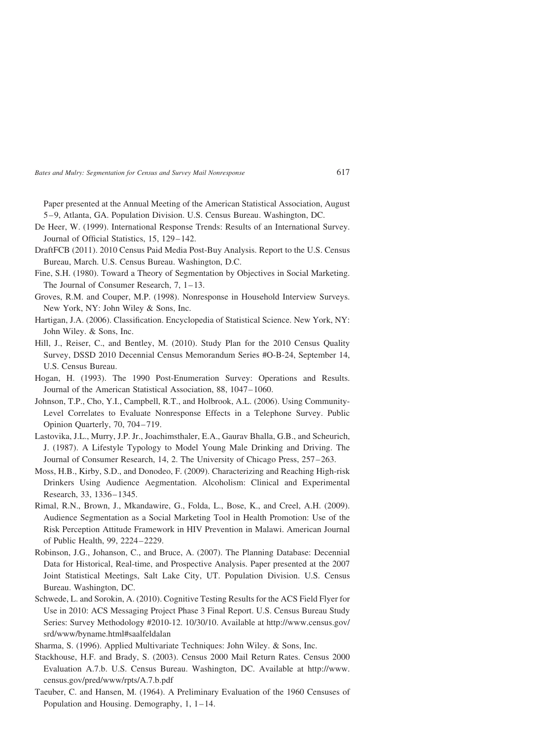Paper presented at the Annual Meeting of the American Statistical Association, August 5– 9, Atlanta, GA. Population Division. U.S. Census Bureau. Washington, DC.

- De Heer, W. (1999). International Response Trends: Results of an International Survey. Journal of Official Statistics, 15, 129– 142.
- DraftFCB (2011). 2010 Census Paid Media Post-Buy Analysis. Report to the U.S. Census Bureau, March. U.S. Census Bureau. Washington, D.C.
- Fine, S.H. (1980). Toward a Theory of Segmentation by Objectives in Social Marketing. The Journal of Consumer Research, 7, 1– 13.
- Groves, R.M. and Couper, M.P. (1998). Nonresponse in Household Interview Surveys. New York, NY: John Wiley & Sons, Inc.
- Hartigan, J.A. (2006). Classification. Encyclopedia of Statistical Science. New York, NY: John Wiley. & Sons, Inc.
- Hill, J., Reiser, C., and Bentley, M. (2010). Study Plan for the 2010 Census Quality Survey, DSSD 2010 Decennial Census Memorandum Series #O-B-24, September 14, U.S. Census Bureau.
- Hogan, H. (1993). The 1990 Post-Enumeration Survey: Operations and Results. Journal of the American Statistical Association, 88, 1047– 1060.
- Johnson, T.P., Cho, Y.I., Campbell, R.T., and Holbrook, A.L. (2006). Using Community-Level Correlates to Evaluate Nonresponse Effects in a Telephone Survey. Public Opinion Quarterly, 70, 704-719.
- Lastovika, J.L., Murry, J.P. Jr., Joachimsthaler, E.A., Gaurav Bhalla, G.B., and Scheurich, J. (1987). A Lifestyle Typology to Model Young Male Drinking and Driving. The Journal of Consumer Research, 14, 2. The University of Chicago Press, 257 –263.
- Moss, H.B., Kirby, S.D., and Donodeo, F. (2009). Characterizing and Reaching High-risk Drinkers Using Audience Aegmentation. Alcoholism: Clinical and Experimental Research, 33, 1336– 1345.
- Rimal, R.N., Brown, J., Mkandawire, G., Folda, L., Bose, K., and Creel, A.H. (2009). Audience Segmentation as a Social Marketing Tool in Health Promotion: Use of the Risk Perception Attitude Framework in HIV Prevention in Malawi. American Journal of Public Health, 99, 2224 –2229.
- Robinson, J.G., Johanson, C., and Bruce, A. (2007). The Planning Database: Decennial Data for Historical, Real-time, and Prospective Analysis. Paper presented at the 2007 Joint Statistical Meetings, Salt Lake City, UT. Population Division. U.S. Census Bureau. Washington, DC.
- Schwede, L. and Sorokin, A. (2010). Cognitive Testing Results for the ACS Field Flyer for Use in 2010: ACS Messaging Project Phase 3 Final Report. U.S. Census Bureau Study Series: Survey Methodology #2010-12. 10/30/10. Available at http://www.census.gov/ srd/www/byname.html#saalfeldalan
- Sharma, S. (1996). Applied Multivariate Techniques: John Wiley. & Sons, Inc.
- Stackhouse, H.F. and Brady, S. (2003). Census 2000 Mail Return Rates. Census 2000 Evaluation A.7.b. U.S. Census Bureau. Washington, DC. Available at http://www. census.gov/pred/www/rpts/A.7.b.pdf
- Taeuber, C. and Hansen, M. (1964). A Preliminary Evaluation of the 1960 Censuses of Population and Housing. Demography, 1, 1–14.